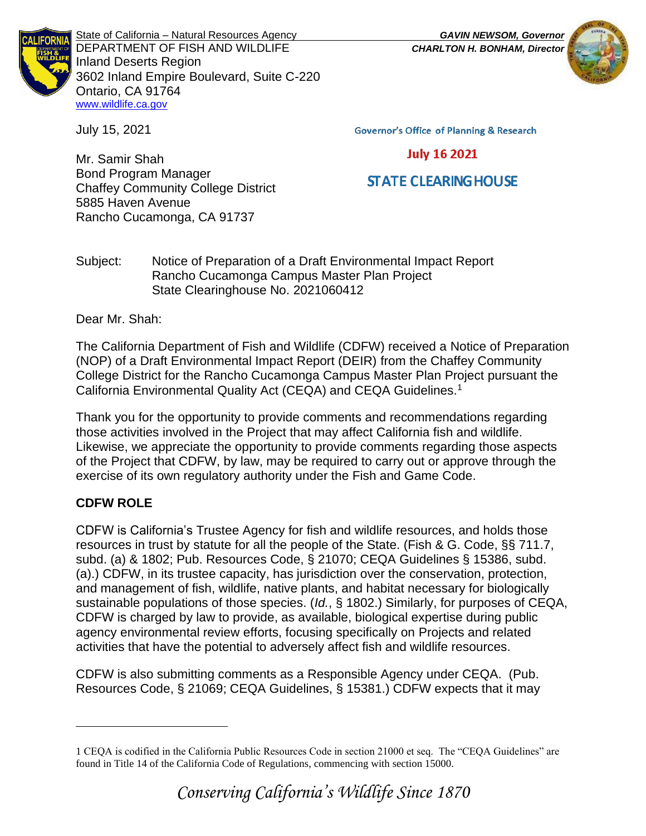

State of California – Natural Resources Agency *GAVIN NEWSOM, Governor* DEPARTMENT OF FISH AND WILDLIFE *CHARLTON H. BONHAM, Director*  Inland Deserts Region 3602 Inland Empire Boulevard, Suite C-220 Ontario, CA 91764 [www.wildlife.ca.gov](http://www.wildlife.ca.gov/)

July 15, 2021

**Governor's Office of Planning & Research** 

## **July 16 2021**

# **STATE CLEARING HOUSE**

Mr. Samir Shah Bond Program Manager Chaffey Community College District 5885 Haven Avenue Rancho Cucamonga, CA 91737

Subject: Notice of Preparation of a Draft Environmental Impact Report Rancho Cucamonga Campus Master Plan Project State Clearinghouse No. 2021060412

Dear Mr. Shah:

The California Department of Fish and Wildlife (CDFW) received a Notice of Preparation (NOP) of a Draft Environmental Impact Report (DEIR) from the Chaffey Community College District for the Rancho Cucamonga Campus Master Plan Project pursuant the California Environmental Quality Act (CEQA) and CEQA Guidelines.<sup>1</sup>

Thank you for the opportunity to provide comments and recommendations regarding those activities involved in the Project that may affect California fish and wildlife. Likewise, we appreciate the opportunity to provide comments regarding those aspects of the Project that CDFW, by law, may be required to carry out or approve through the exercise of its own regulatory authority under the Fish and Game Code.

## **CDFW ROLE**

CDFW is California's Trustee Agency for fish and wildlife resources, and holds those resources in trust by statute for all the people of the State. (Fish & G. Code, §§ 711.7, subd. (a) & 1802; Pub. Resources Code, § 21070; CEQA Guidelines § 15386, subd. (a).) CDFW, in its trustee capacity, has jurisdiction over the conservation, protection, and management of fish, wildlife, native plants, and habitat necessary for biologically sustainable populations of those species. (*Id.*, § 1802.) Similarly, for purposes of CEQA, CDFW is charged by law to provide, as available, biological expertise during public agency environmental review efforts, focusing specifically on Projects and related activities that have the potential to adversely affect fish and wildlife resources.

CDFW is also submitting comments as a Responsible Agency under CEQA. (Pub. Resources Code, § 21069; CEQA Guidelines, § 15381.) CDFW expects that it may

<sup>1</sup> CEQA is codified in the California Public Resources Code in section 21000 et seq. The "CEQA Guidelines" are found in Title 14 of the California Code of Regulations, commencing with section 15000.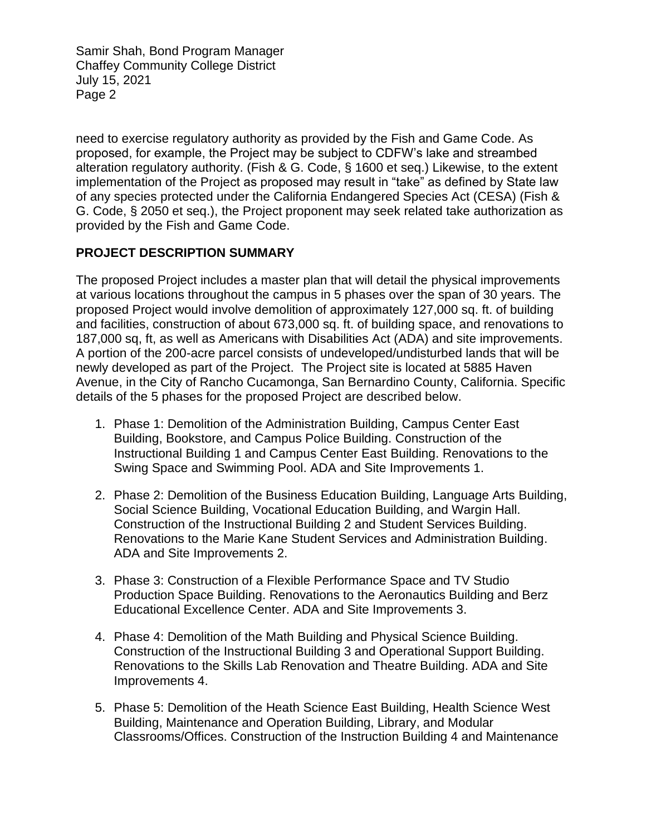need to exercise regulatory authority as provided by the Fish and Game Code. As proposed, for example, the Project may be subject to CDFW's lake and streambed alteration regulatory authority. (Fish & G. Code, § 1600 et seq.) Likewise, to the extent implementation of the Project as proposed may result in "take" as defined by State law of any species protected under the California Endangered Species Act (CESA) (Fish & G. Code, § 2050 et seq.), the Project proponent may seek related take authorization as provided by the Fish and Game Code.

## **PROJECT DESCRIPTION SUMMARY**

The proposed Project includes a master plan that will detail the physical improvements at various locations throughout the campus in 5 phases over the span of 30 years. The proposed Project would involve demolition of approximately 127,000 sq. ft. of building and facilities, construction of about 673,000 sq. ft. of building space, and renovations to 187,000 sq, ft, as well as Americans with Disabilities Act (ADA) and site improvements. A portion of the 200-acre parcel consists of undeveloped/undisturbed lands that will be newly developed as part of the Project. The Project site is located at 5885 Haven Avenue, in the City of Rancho Cucamonga, San Bernardino County, California. Specific details of the 5 phases for the proposed Project are described below.

- 1. Phase 1: Demolition of the Administration Building, Campus Center East Building, Bookstore, and Campus Police Building. Construction of the Instructional Building 1 and Campus Center East Building. Renovations to the Swing Space and Swimming Pool. ADA and Site Improvements 1.
- 2. Phase 2: Demolition of the Business Education Building, Language Arts Building, Social Science Building, Vocational Education Building, and Wargin Hall. Construction of the Instructional Building 2 and Student Services Building. Renovations to the Marie Kane Student Services and Administration Building. ADA and Site Improvements 2.
- 3. Phase 3: Construction of a Flexible Performance Space and TV Studio Production Space Building. Renovations to the Aeronautics Building and Berz Educational Excellence Center. ADA and Site Improvements 3.
- 4. Phase 4: Demolition of the Math Building and Physical Science Building. Construction of the Instructional Building 3 and Operational Support Building. Renovations to the Skills Lab Renovation and Theatre Building. ADA and Site Improvements 4.
- 5. Phase 5: Demolition of the Heath Science East Building, Health Science West Building, Maintenance and Operation Building, Library, and Modular Classrooms/Offices. Construction of the Instruction Building 4 and Maintenance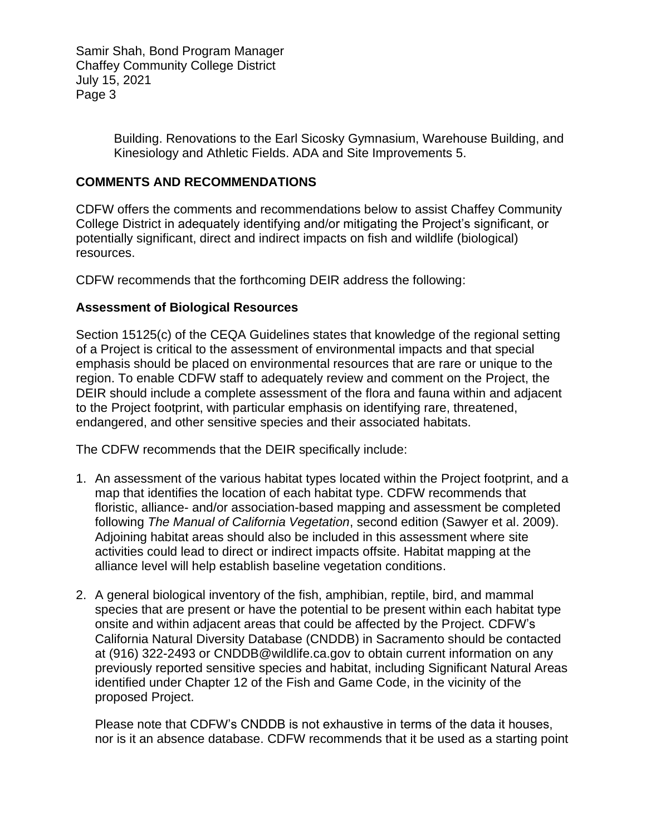> Building. Renovations to the Earl Sicosky Gymnasium, Warehouse Building, and Kinesiology and Athletic Fields. ADA and Site Improvements 5.

#### **COMMENTS AND RECOMMENDATIONS**

CDFW offers the comments and recommendations below to assist Chaffey Community College District in adequately identifying and/or mitigating the Project's significant, or potentially significant, direct and indirect impacts on fish and wildlife (biological) resources.

CDFW recommends that the forthcoming DEIR address the following:

#### **Assessment of Biological Resources**

Section 15125(c) of the CEQA Guidelines states that knowledge of the regional setting of a Project is critical to the assessment of environmental impacts and that special emphasis should be placed on environmental resources that are rare or unique to the region. To enable CDFW staff to adequately review and comment on the Project, the DEIR should include a complete assessment of the flora and fauna within and adjacent to the Project footprint, with particular emphasis on identifying rare, threatened, endangered, and other sensitive species and their associated habitats.

The CDFW recommends that the DEIR specifically include:

- 1. An assessment of the various habitat types located within the Project footprint, and a map that identifies the location of each habitat type. CDFW recommends that floristic, alliance- and/or association-based mapping and assessment be completed following *The Manual of California Vegetation*, second edition (Sawyer et al. 2009). Adjoining habitat areas should also be included in this assessment where site activities could lead to direct or indirect impacts offsite. Habitat mapping at the alliance level will help establish baseline vegetation conditions.
- 2. A general biological inventory of the fish, amphibian, reptile, bird, and mammal species that are present or have the potential to be present within each habitat type onsite and within adjacent areas that could be affected by the Project. CDFW's California Natural Diversity Database (CNDDB) in Sacramento should be contacted at (916) 322-2493 or CNDDB@wildlife.ca.gov to obtain current information on any previously reported sensitive species and habitat, including Significant Natural Areas identified under Chapter 12 of the Fish and Game Code, in the vicinity of the proposed Project.

Please note that CDFW's CNDDB is not exhaustive in terms of the data it houses, nor is it an absence database. CDFW recommends that it be used as a starting point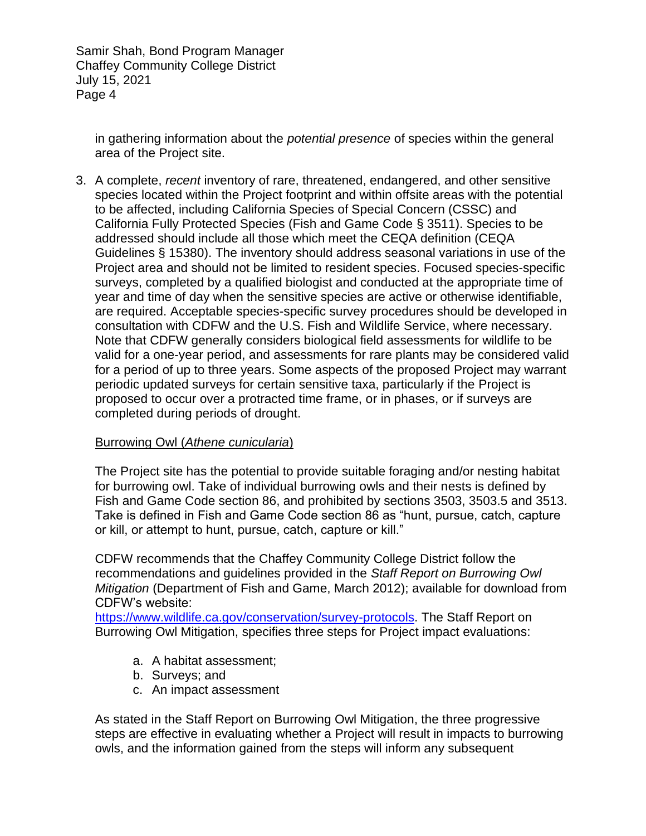in gathering information about the *potential presence* of species within the general area of the Project site.

3. A complete, *recent* inventory of rare, threatened, endangered, and other sensitive species located within the Project footprint and within offsite areas with the potential to be affected, including California Species of Special Concern (CSSC) and California Fully Protected Species (Fish and Game Code § 3511). Species to be addressed should include all those which meet the CEQA definition (CEQA Guidelines § 15380). The inventory should address seasonal variations in use of the Project area and should not be limited to resident species. Focused species-specific surveys, completed by a qualified biologist and conducted at the appropriate time of year and time of day when the sensitive species are active or otherwise identifiable, are required. Acceptable species-specific survey procedures should be developed in consultation with CDFW and the U.S. Fish and Wildlife Service, where necessary. Note that CDFW generally considers biological field assessments for wildlife to be valid for a one-year period, and assessments for rare plants may be considered valid for a period of up to three years. Some aspects of the proposed Project may warrant periodic updated surveys for certain sensitive taxa, particularly if the Project is proposed to occur over a protracted time frame, or in phases, or if surveys are completed during periods of drought.

#### Burrowing Owl (*Athene cunicularia*)

The Project site has the potential to provide suitable foraging and/or nesting habitat for burrowing owl. Take of individual burrowing owls and their nests is defined by Fish and Game Code section 86, and prohibited by sections 3503, 3503.5 and 3513. Take is defined in Fish and Game Code section 86 as "hunt, pursue, catch, capture or kill, or attempt to hunt, pursue, catch, capture or kill."

CDFW recommends that the Chaffey Community College District follow the recommendations and guidelines provided in the *Staff Report on Burrowing Owl Mitigation* (Department of Fish and Game, March 2012); available for download from CDFW's website:

[https://www.wildlife.ca.gov/conservation/survey-protocols.](https://www.wildlife.ca.gov/conservation/survey-protocols) The Staff Report on Burrowing Owl Mitigation, specifies three steps for Project impact evaluations:

- a. A habitat assessment;
- b. Surveys; and
- c. An impact assessment

As stated in the Staff Report on Burrowing Owl Mitigation, the three progressive steps are effective in evaluating whether a Project will result in impacts to burrowing owls, and the information gained from the steps will inform any subsequent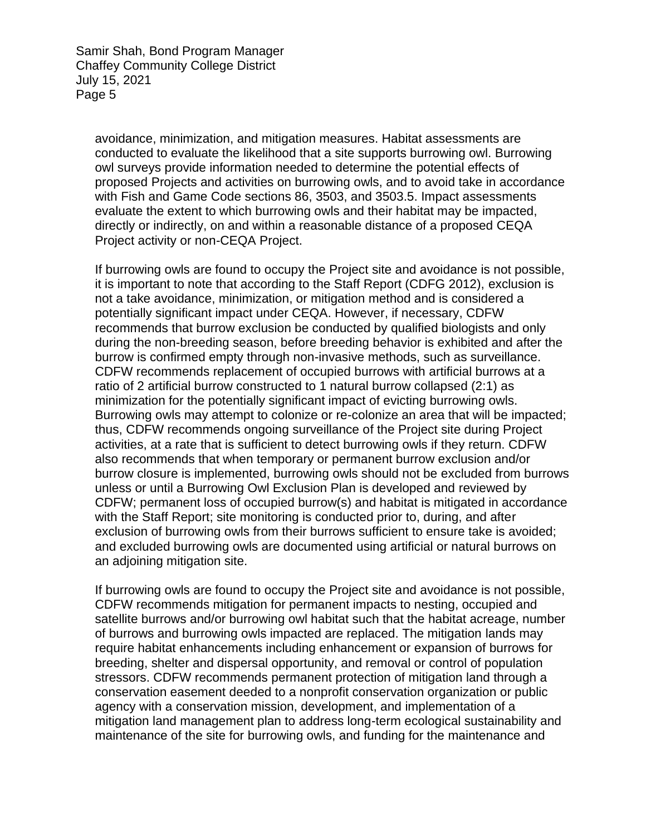avoidance, minimization, and mitigation measures. Habitat assessments are conducted to evaluate the likelihood that a site supports burrowing owl. Burrowing owl surveys provide information needed to determine the potential effects of proposed Projects and activities on burrowing owls, and to avoid take in accordance with Fish and Game Code sections 86, 3503, and 3503.5. Impact assessments evaluate the extent to which burrowing owls and their habitat may be impacted, directly or indirectly, on and within a reasonable distance of a proposed CEQA Project activity or non-CEQA Project.

If burrowing owls are found to occupy the Project site and avoidance is not possible, it is important to note that according to the Staff Report (CDFG 2012), exclusion is not a take avoidance, minimization, or mitigation method and is considered a potentially significant impact under CEQA. However, if necessary, CDFW recommends that burrow exclusion be conducted by qualified biologists and only during the non-breeding season, before breeding behavior is exhibited and after the burrow is confirmed empty through non-invasive methods, such as surveillance. CDFW recommends replacement of occupied burrows with artificial burrows at a ratio of 2 artificial burrow constructed to 1 natural burrow collapsed (2:1) as minimization for the potentially significant impact of evicting burrowing owls. Burrowing owls may attempt to colonize or re-colonize an area that will be impacted; thus, CDFW recommends ongoing surveillance of the Project site during Project activities, at a rate that is sufficient to detect burrowing owls if they return. CDFW also recommends that when temporary or permanent burrow exclusion and/or burrow closure is implemented, burrowing owls should not be excluded from burrows unless or until a Burrowing Owl Exclusion Plan is developed and reviewed by CDFW; permanent loss of occupied burrow(s) and habitat is mitigated in accordance with the Staff Report; site monitoring is conducted prior to, during, and after exclusion of burrowing owls from their burrows sufficient to ensure take is avoided; and excluded burrowing owls are documented using artificial or natural burrows on an adjoining mitigation site.

If burrowing owls are found to occupy the Project site and avoidance is not possible, CDFW recommends mitigation for permanent impacts to nesting, occupied and satellite burrows and/or burrowing owl habitat such that the habitat acreage, number of burrows and burrowing owls impacted are replaced. The mitigation lands may require habitat enhancements including enhancement or expansion of burrows for breeding, shelter and dispersal opportunity, and removal or control of population stressors. CDFW recommends permanent protection of mitigation land through a conservation easement deeded to a nonprofit conservation organization or public agency with a conservation mission, development, and implementation of a mitigation land management plan to address long-term ecological sustainability and maintenance of the site for burrowing owls, and funding for the maintenance and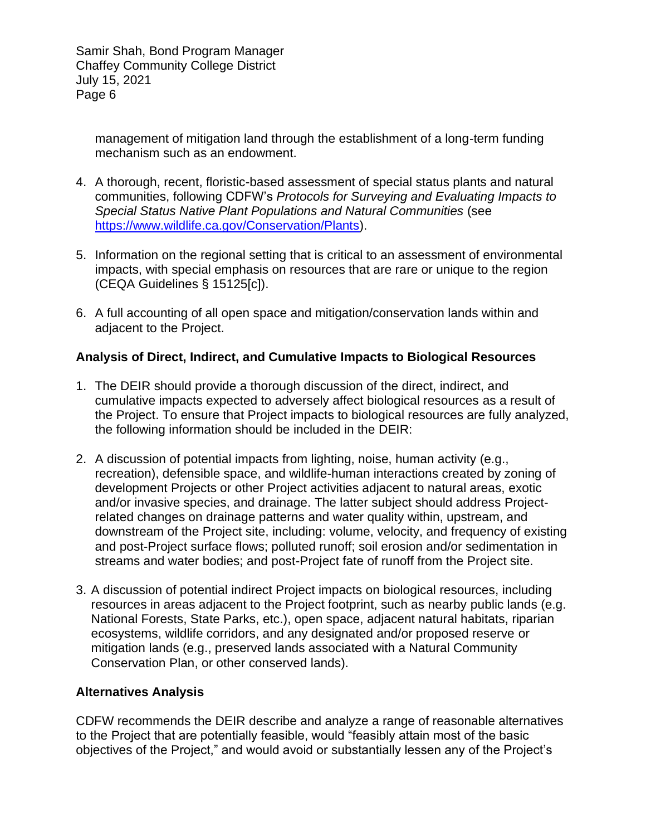management of mitigation land through the establishment of a long-term funding mechanism such as an endowment.

- 4. A thorough, recent, floristic-based assessment of special status plants and natural communities, following CDFW's *Protocols for Surveying and Evaluating Impacts to Special Status Native Plant Populations and Natural Communities* (see [https://www.wildlife.ca.gov/Conservation/Plants\)](https://www.wildlife.ca.gov/Conservation/Plants).
- 5. Information on the regional setting that is critical to an assessment of environmental impacts, with special emphasis on resources that are rare or unique to the region (CEQA Guidelines § 15125[c]).
- 6. A full accounting of all open space and mitigation/conservation lands within and adjacent to the Project.

#### **Analysis of Direct, Indirect, and Cumulative Impacts to Biological Resources**

- 1. The DEIR should provide a thorough discussion of the direct, indirect, and cumulative impacts expected to adversely affect biological resources as a result of the Project. To ensure that Project impacts to biological resources are fully analyzed, the following information should be included in the DEIR:
- 2. A discussion of potential impacts from lighting, noise, human activity (e.g., recreation), defensible space, and wildlife-human interactions created by zoning of development Projects or other Project activities adjacent to natural areas, exotic and/or invasive species, and drainage. The latter subject should address Projectrelated changes on drainage patterns and water quality within, upstream, and downstream of the Project site, including: volume, velocity, and frequency of existing and post-Project surface flows; polluted runoff; soil erosion and/or sedimentation in streams and water bodies; and post-Project fate of runoff from the Project site.
- 3. A discussion of potential indirect Project impacts on biological resources, including resources in areas adjacent to the Project footprint, such as nearby public lands (e.g. National Forests, State Parks, etc.), open space, adjacent natural habitats, riparian ecosystems, wildlife corridors, and any designated and/or proposed reserve or mitigation lands (e.g., preserved lands associated with a Natural Community Conservation Plan, or other conserved lands).

#### **Alternatives Analysis**

CDFW recommends the DEIR describe and analyze a range of reasonable alternatives to the Project that are potentially feasible, would "feasibly attain most of the basic objectives of the Project," and would avoid or substantially lessen any of the Project's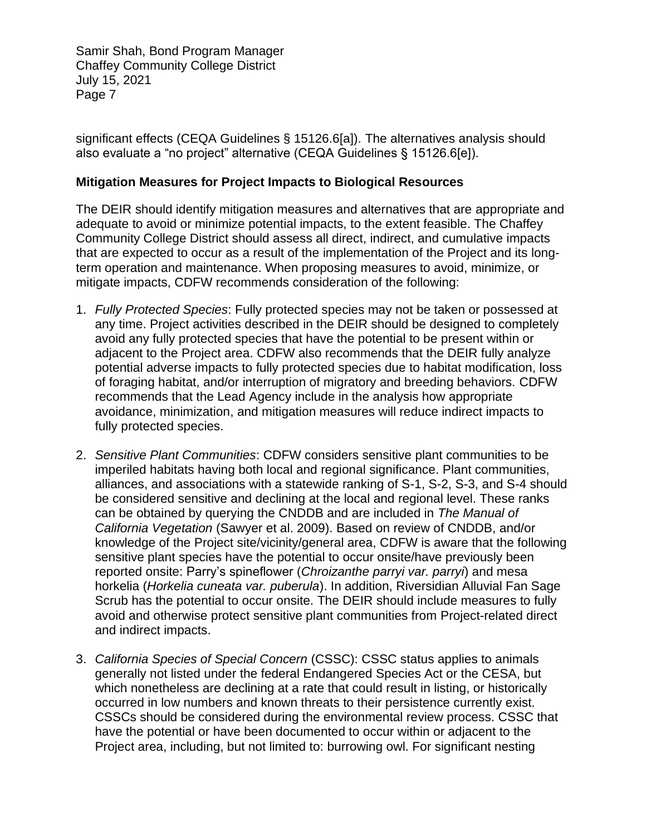significant effects (CEQA Guidelines § 15126.6[a]). The alternatives analysis should also evaluate a "no project" alternative (CEQA Guidelines § 15126.6[e]).

#### **Mitigation Measures for Project Impacts to Biological Resources**

The DEIR should identify mitigation measures and alternatives that are appropriate and adequate to avoid or minimize potential impacts, to the extent feasible. The Chaffey Community College District should assess all direct, indirect, and cumulative impacts that are expected to occur as a result of the implementation of the Project and its longterm operation and maintenance. When proposing measures to avoid, minimize, or mitigate impacts, CDFW recommends consideration of the following:

- 1. *Fully Protected Species*: Fully protected species may not be taken or possessed at any time. Project activities described in the DEIR should be designed to completely avoid any fully protected species that have the potential to be present within or adjacent to the Project area. CDFW also recommends that the DEIR fully analyze potential adverse impacts to fully protected species due to habitat modification, loss of foraging habitat, and/or interruption of migratory and breeding behaviors. CDFW recommends that the Lead Agency include in the analysis how appropriate avoidance, minimization, and mitigation measures will reduce indirect impacts to fully protected species.
- 2. *Sensitive Plant Communities*: CDFW considers sensitive plant communities to be imperiled habitats having both local and regional significance. Plant communities, alliances, and associations with a statewide ranking of S-1, S-2, S-3, and S-4 should be considered sensitive and declining at the local and regional level. These ranks can be obtained by querying the CNDDB and are included in *The Manual of California Vegetation* (Sawyer et al. 2009). Based on review of CNDDB, and/or knowledge of the Project site/vicinity/general area, CDFW is aware that the following sensitive plant species have the potential to occur onsite/have previously been reported onsite: Parry's spineflower (*Chroizanthe parryi var. parryi*) and mesa horkelia (*Horkelia cuneata var. puberula*). In addition, Riversidian Alluvial Fan Sage Scrub has the potential to occur onsite. The DEIR should include measures to fully avoid and otherwise protect sensitive plant communities from Project-related direct and indirect impacts.
- 3. *California Species of Special Concern* (CSSC): CSSC status applies to animals generally not listed under the federal Endangered Species Act or the CESA, but which nonetheless are declining at a rate that could result in listing, or historically occurred in low numbers and known threats to their persistence currently exist. CSSCs should be considered during the environmental review process. CSSC that have the potential or have been documented to occur within or adjacent to the Project area, including, but not limited to: burrowing owl. For significant nesting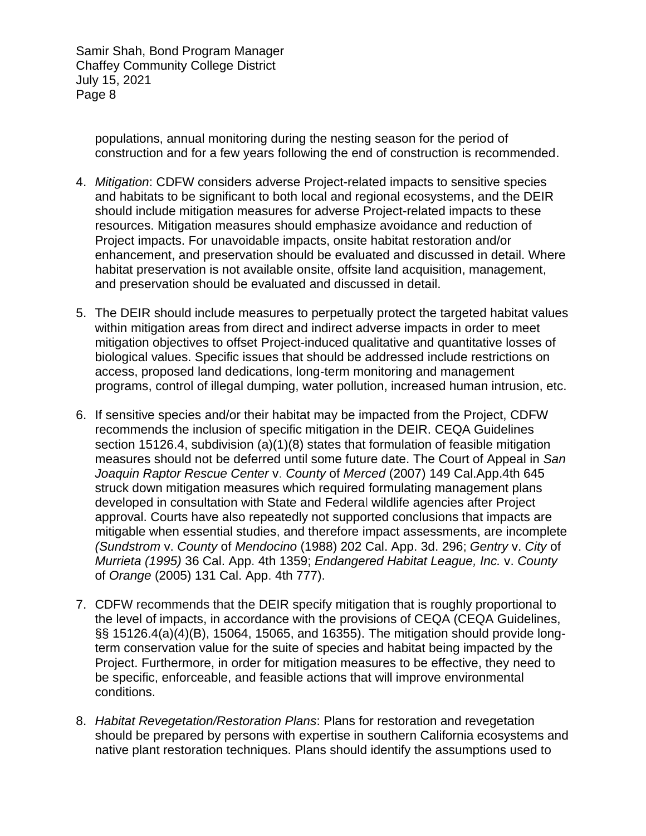populations, annual monitoring during the nesting season for the period of construction and for a few years following the end of construction is recommended.

- 4. *Mitigation*: CDFW considers adverse Project-related impacts to sensitive species and habitats to be significant to both local and regional ecosystems, and the DEIR should include mitigation measures for adverse Project-related impacts to these resources. Mitigation measures should emphasize avoidance and reduction of Project impacts. For unavoidable impacts, onsite habitat restoration and/or enhancement, and preservation should be evaluated and discussed in detail. Where habitat preservation is not available onsite, offsite land acquisition, management, and preservation should be evaluated and discussed in detail.
- 5. The DEIR should include measures to perpetually protect the targeted habitat values within mitigation areas from direct and indirect adverse impacts in order to meet mitigation objectives to offset Project-induced qualitative and quantitative losses of biological values. Specific issues that should be addressed include restrictions on access, proposed land dedications, long-term monitoring and management programs, control of illegal dumping, water pollution, increased human intrusion, etc.
- 6. If sensitive species and/or their habitat may be impacted from the Project, CDFW recommends the inclusion of specific mitigation in the DEIR. CEQA Guidelines section 15126.4, subdivision (a)(1)(8) states that formulation of feasible mitigation measures should not be deferred until some future date. The Court of Appeal in *San Joaquin Raptor Rescue Center* v. *County* of *Merced* (2007) 149 Cal.App.4th 645 struck down mitigation measures which required formulating management plans developed in consultation with State and Federal wildlife agencies after Project approval. Courts have also repeatedly not supported conclusions that impacts are mitigable when essential studies, and therefore impact assessments, are incomplete *(Sundstrom* v. *County* of *Mendocino* (1988) 202 Cal. App. 3d. 296; *Gentry* v. *City* of *Murrieta (1995)* 36 Cal. App. 4th 1359; *Endangered Habitat League, Inc.* v. *County*  of *Orange* (2005) 131 Cal. App. 4th 777).
- 7. CDFW recommends that the DEIR specify mitigation that is roughly proportional to the level of impacts, in accordance with the provisions of CEQA (CEQA Guidelines, §§ 15126.4(a)(4)(B), 15064, 15065, and 16355). The mitigation should provide longterm conservation value for the suite of species and habitat being impacted by the Project. Furthermore, in order for mitigation measures to be effective, they need to be specific, enforceable, and feasible actions that will improve environmental conditions.
- 8. *Habitat Revegetation/Restoration Plans*: Plans for restoration and revegetation should be prepared by persons with expertise in southern California ecosystems and native plant restoration techniques. Plans should identify the assumptions used to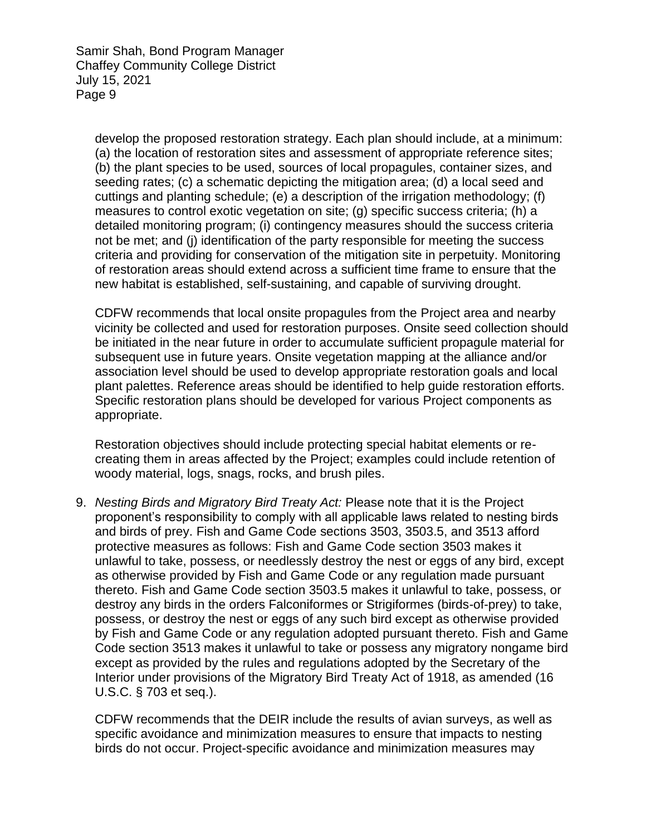develop the proposed restoration strategy. Each plan should include, at a minimum: (a) the location of restoration sites and assessment of appropriate reference sites; (b) the plant species to be used, sources of local propagules, container sizes, and seeding rates; (c) a schematic depicting the mitigation area; (d) a local seed and cuttings and planting schedule; (e) a description of the irrigation methodology; (f) measures to control exotic vegetation on site; (g) specific success criteria; (h) a detailed monitoring program; (i) contingency measures should the success criteria not be met; and (j) identification of the party responsible for meeting the success criteria and providing for conservation of the mitigation site in perpetuity. Monitoring of restoration areas should extend across a sufficient time frame to ensure that the new habitat is established, self-sustaining, and capable of surviving drought.

CDFW recommends that local onsite propagules from the Project area and nearby vicinity be collected and used for restoration purposes. Onsite seed collection should be initiated in the near future in order to accumulate sufficient propagule material for subsequent use in future years. Onsite vegetation mapping at the alliance and/or association level should be used to develop appropriate restoration goals and local plant palettes. Reference areas should be identified to help guide restoration efforts. Specific restoration plans should be developed for various Project components as appropriate.

Restoration objectives should include protecting special habitat elements or recreating them in areas affected by the Project; examples could include retention of woody material, logs, snags, rocks, and brush piles.

9. *Nesting Birds and Migratory Bird Treaty Act:* Please note that it is the Project proponent's responsibility to comply with all applicable laws related to nesting birds and birds of prey. Fish and Game Code sections 3503, 3503.5, and 3513 afford protective measures as follows: Fish and Game Code section 3503 makes it unlawful to take, possess, or needlessly destroy the nest or eggs of any bird, except as otherwise provided by Fish and Game Code or any regulation made pursuant thereto. Fish and Game Code section 3503.5 makes it unlawful to take, possess, or destroy any birds in the orders Falconiformes or Strigiformes (birds-of-prey) to take, possess, or destroy the nest or eggs of any such bird except as otherwise provided by Fish and Game Code or any regulation adopted pursuant thereto. Fish and Game Code section 3513 makes it unlawful to take or possess any migratory nongame bird except as provided by the rules and regulations adopted by the Secretary of the Interior under provisions of the Migratory Bird Treaty Act of 1918, as amended (16 U.S.C. § 703 et seq.).

CDFW recommends that the DEIR include the results of avian surveys, as well as specific avoidance and minimization measures to ensure that impacts to nesting birds do not occur. Project-specific avoidance and minimization measures may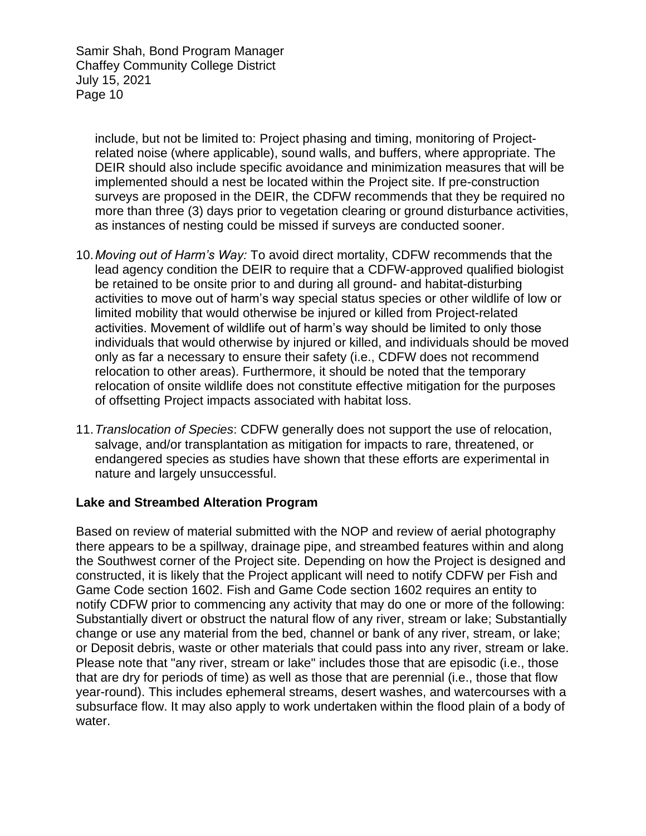include, but not be limited to: Project phasing and timing, monitoring of Projectrelated noise (where applicable), sound walls, and buffers, where appropriate. The DEIR should also include specific avoidance and minimization measures that will be implemented should a nest be located within the Project site. If pre-construction surveys are proposed in the DEIR, the CDFW recommends that they be required no more than three (3) days prior to vegetation clearing or ground disturbance activities, as instances of nesting could be missed if surveys are conducted sooner.

- 10.*Moving out of Harm's Way:* To avoid direct mortality, CDFW recommends that the lead agency condition the DEIR to require that a CDFW-approved qualified biologist be retained to be onsite prior to and during all ground- and habitat-disturbing activities to move out of harm's way special status species or other wildlife of low or limited mobility that would otherwise be injured or killed from Project-related activities. Movement of wildlife out of harm's way should be limited to only those individuals that would otherwise by injured or killed, and individuals should be moved only as far a necessary to ensure their safety (i.e., CDFW does not recommend relocation to other areas). Furthermore, it should be noted that the temporary relocation of onsite wildlife does not constitute effective mitigation for the purposes of offsetting Project impacts associated with habitat loss.
- 11.*Translocation of Species*: CDFW generally does not support the use of relocation, salvage, and/or transplantation as mitigation for impacts to rare, threatened, or endangered species as studies have shown that these efforts are experimental in nature and largely unsuccessful.

#### **Lake and Streambed Alteration Program**

Based on review of material submitted with the NOP and review of aerial photography there appears to be a spillway, drainage pipe, and streambed features within and along the Southwest corner of the Project site. Depending on how the Project is designed and constructed, it is likely that the Project applicant will need to notify CDFW per Fish and Game Code section 1602. Fish and Game Code section 1602 requires an entity to notify CDFW prior to commencing any activity that may do one or more of the following: Substantially divert or obstruct the natural flow of any river, stream or lake; Substantially change or use any material from the bed, channel or bank of any river, stream, or lake; or Deposit debris, waste or other materials that could pass into any river, stream or lake. Please note that "any river, stream or lake" includes those that are episodic (i.e., those that are dry for periods of time) as well as those that are perennial (i.e., those that flow year-round). This includes ephemeral streams, desert washes, and watercourses with a subsurface flow. It may also apply to work undertaken within the flood plain of a body of water.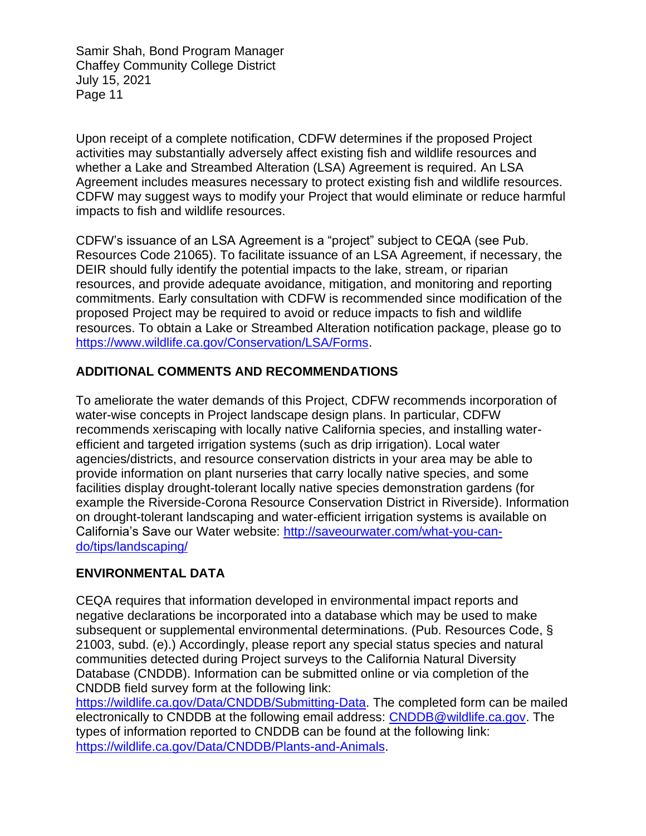Upon receipt of a complete notification, CDFW determines if the proposed Project activities may substantially adversely affect existing fish and wildlife resources and whether a Lake and Streambed Alteration (LSA) Agreement is required. An LSA Agreement includes measures necessary to protect existing fish and wildlife resources. CDFW may suggest ways to modify your Project that would eliminate or reduce harmful impacts to fish and wildlife resources.

CDFW's issuance of an LSA Agreement is a "project" subject to CEQA (see Pub. Resources Code 21065). To facilitate issuance of an LSA Agreement, if necessary, the DEIR should fully identify the potential impacts to the lake, stream, or riparian resources, and provide adequate avoidance, mitigation, and monitoring and reporting commitments. Early consultation with CDFW is recommended since modification of the proposed Project may be required to avoid or reduce impacts to fish and wildlife resources. To obtain a Lake or Streambed Alteration notification package, please go to [https://www.wildlife.ca.gov/Conservation/LSA/Forms.](https://www.wildlife.ca.gov/Conservation/LSA/Forms)

## **ADDITIONAL COMMENTS AND RECOMMENDATIONS**

To ameliorate the water demands of this Project, CDFW recommends incorporation of water-wise concepts in Project landscape design plans. In particular, CDFW recommends xeriscaping with locally native California species, and installing waterefficient and targeted irrigation systems (such as drip irrigation). Local water agencies/districts, and resource conservation districts in your area may be able to provide information on plant nurseries that carry locally native species, and some facilities display drought-tolerant locally native species demonstration gardens (for example the Riverside-Corona Resource Conservation District in Riverside). Information on drought-tolerant landscaping and water-efficient irrigation systems is available on California's Save our Water website: [http://saveourwater.com/what-you-can](http://saveourwater.com/what-you-can-do/tips/landscaping/)[do/tips/landscaping/](http://saveourwater.com/what-you-can-do/tips/landscaping/)

#### **ENVIRONMENTAL DATA**

CEQA requires that information developed in environmental impact reports and negative declarations be incorporated into a database which may be used to make subsequent or supplemental environmental determinations. (Pub. Resources Code, § 21003, subd. (e).) Accordingly, please report any special status species and natural communities detected during Project surveys to the California Natural Diversity Database (CNDDB). Information can be submitted online or via completion of the CNDDB field survey form at the following link:

[https://wildlife.ca.gov/Data/CNDDB/Submitting-Data.](https://wildlife.ca.gov/Data/CNDDB/Submitting-Data) The completed form can be mailed electronically to CNDDB at the following email address: [CNDDB@wildlife.ca.gov.](mailto:cnddb@dfg.ca.gov) The types of information reported to CNDDB can be found at the following link: [https://wildlife.ca.gov/Data/CNDDB/Plants-and-Animals.](https://wildlife.ca.gov/Data/CNDDB/Plants-and-Animals)